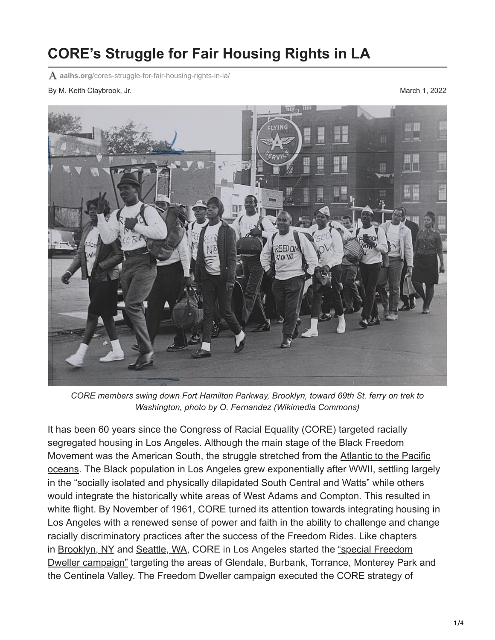## **CORE's Struggle for Fair Housing Rights in LA**

**aaihs.org**[/cores-struggle-for-fair-housing-rights-in-la/](https://www.aaihs.org/cores-struggle-for-fair-housing-rights-in-la/)

By M. Keith Claybrook, Jr. March 1, 2022



*CORE members swing down Fort Hamilton Parkway, Brooklyn, toward 69th St. ferry on trek to Washington, photo by O. Fernandez (Wikimedia Commons)*

It has been 60 years since the Congress of Racial Equality (CORE) targeted racially segregated housing [in Los Angeles.](https://www.aaihs.org/?s=los+angeles) Although the main stage of the Black Freedom [Movement was the American South, the struggle stretched from the Atlantic to the Pacific](https://www.aaihs.org/the-black-freedom-struggle-of-the-north/) oceans. The Black population in Los Angeles grew exponentially after WWII, settling largely in the ["socially isolated and physically dilapidated South Central and Watts"](https://www.ucpress.edu/book/9780520248304/la-city-limits) while others would integrate the historically white areas of West Adams and Compton. This resulted in white flight. By November of 1961, CORE turned its attention towards integrating housing in Los Angeles with a renewed sense of power and faith in the ability to challenge and change racially discriminatory practices after the success of the Freedom Rides. Like chapters in [Brooklyn, NY](https://www.kentuckypress.com/9780813141824/fighting-jim-crow-in-the-county-of-kings/) and [Seattle, WA](https://uwapress.uw.edu/book/9780295990842/seattle-in-black-and-white/), CORE in Los Angeles started the "special Freedom [Dweller campaign" targeting the areas of Glendale, Burbank, Torrance, Monterey Park](https://www.proquest.com/hnplatimes/results/F3476F7F67144BFAPQ/1?accountid=10351) and the Centinela Valley. The Freedom Dweller campaign executed the CORE strategy of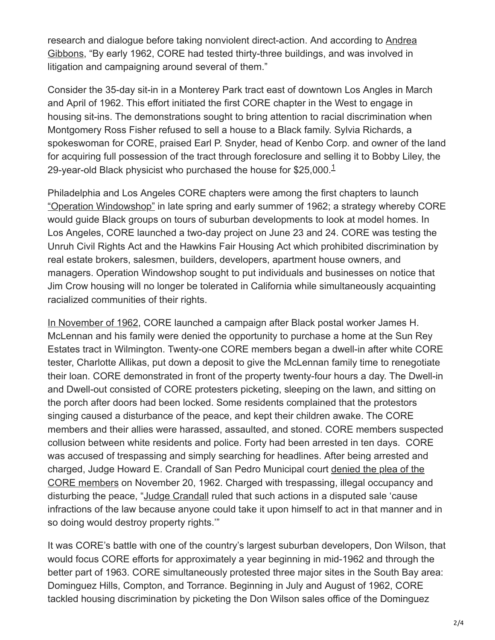[research and dialogue before taking nonviolent direct-action. And according to Andrea](https://www.versobooks.com/books/2543-city-of-segregation) Gibbons, "By early 1962, CORE had tested thirty-three buildings, and was involved in litigation and campaigning around several of them."

Consider the 35-day sit-in in a Monterey Park tract east of downtown Los Angles in March and April of 1962. This effort initiated the first CORE chapter in the West to engage in housing sit-ins. The demonstrations sought to bring attention to racial discrimination when Montgomery Ross Fisher refused to sell a house to a Black family. Sylvia Richards, a spokeswoman for CORE, praised Earl P. Snyder, head of Kenbo Corp. and owner of the land for acquiring full possession of the tract through foreclosure and selling it to Bobby Liley, the 29-year-old Black physicist who purchased the house for \$25,000. $^{\text{1}}$  $^{\text{1}}$  $^{\text{1}}$ 

Philadelphia and Los Angeles CORE chapters were among the first chapters to launch ["Operation Windowshop"](https://www.worldcat.org/title/core-a-study-in-the-civil-rights-movement-1942-1968/oclc/598471) in late spring and early summer of 1962; a strategy whereby CORE would guide Black groups on tours of suburban developments to look at model homes. In Los Angeles, CORE launched a two-day project on June 23 and 24. CORE was testing the Unruh Civil Rights Act and the Hawkins Fair Housing Act which prohibited discrimination by real estate brokers, salesmen, builders, developers, apartment house owners, and managers. Operation Windowshop sought to put individuals and businesses on notice that Jim Crow housing will no longer be tolerated in California while simultaneously acquainting racialized communities of their rights.

[In November of 1962,](https://www.versobooks.com/books/3752-set-the-night-on-fire) CORE launched a campaign after Black postal worker James H. McLennan and his family were denied the opportunity to purchase a home at the Sun Rey Estates tract in Wilmington. Twenty-one CORE members began a dwell-in after white CORE tester, Charlotte Allikas, put down a deposit to give the McLennan family time to renegotiate their loan. CORE demonstrated in front of the property twenty-four hours a day. The Dwell-in and Dwell-out consisted of CORE protesters picketing, sleeping on the lawn, and sitting on the porch after doors had been locked. Some residents complained that the protestors singing caused a disturbance of the peace, and kept their children awake. The CORE members and their allies were harassed, assaulted, and stoned. CORE members suspected collusion between white residents and police. Forty had been arrested in ten days. CORE was accused of trespassing and simply searching for headlines. After being arrested and [charged, Judge Howard E. Crandall of San Pedro Municipal court denied the plea of the](https://www.proquest.com/hnplatimes/results/7B51D5BEB0B644B6PQ/1?accountid=10351) CORE members on November 20, 1962. Charged with trespassing, illegal occupancy and disturbing the peace, "[Judge Crandall](https://www.proquest.com/hnplatimes/results/7B51D5BEB0B644B6PQ/1?accountid=10351) ruled that such actions in a disputed sale 'cause infractions of the law because anyone could take it upon himself to act in that manner and in so doing would destroy property rights.'"

It was CORE's battle with one of the country's largest suburban developers, Don Wilson, that would focus CORE efforts for approximately a year beginning in mid-1962 and through the better part of 1963. CORE simultaneously protested three major sites in the South Bay area: Dominguez Hills, Compton, and Torrance. Beginning in July and August of 1962, CORE tackled housing discrimination by picketing the Don Wilson sales office of the Dominguez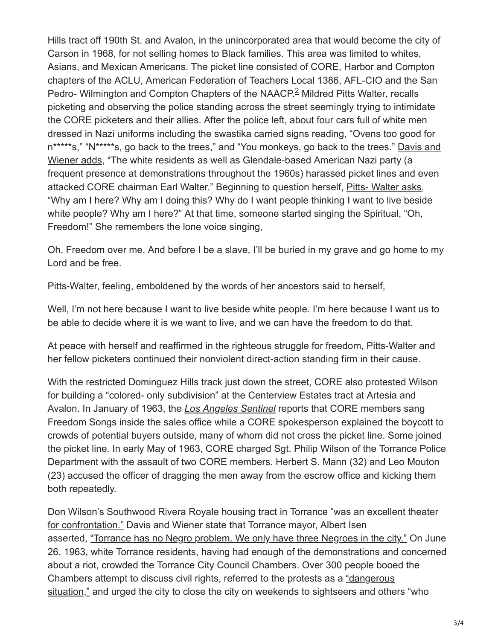Hills tract off 190th St. and Avalon, in the unincorporated area that would become the city of Carson in 1968, for not selling homes to Black families. This area was limited to whites, Asians, and Mexican Americans. The picket line consisted of CORE, Harbor and Compton chapters of the ACLU, American Federation of Teachers Local 1386, AFL-CIO and the San Pedro- Wilmington and Compton Chapters of the NAACP.<sup>2</sup> [Mildred Pitts Walter,](https://www.loc.gov/item/2015669158/) recalls picketing and observing the police standing across the street seemingly trying to intimidate the CORE picketers and their allies. After the police left, about four cars full of white men dressed in Nazi uniforms including the swastika carried signs reading, "Ovens too good for [n\\*\\*\\*\\*\\*s," "N\\*\\*\\*\\*\\*s, go back to the trees," and "You monkeys, go back to the trees." Davis and](https://www.versobooks.com/books/3752-set-the-night-on-fire) Wiener adds, "The white residents as well as Glendale-based American Nazi party (a frequent presence at demonstrations throughout the 1960s) harassed picket lines and even attacked CORE chairman Earl Walter." Beginning to question herself, [Pitts- Walter asks](https://www.loc.gov/item/2015669158/), "Why am I here? Why am I doing this? Why do I want people thinking I want to live beside white people? Why am I here?" At that time, someone started singing the Spiritual, "Oh, Freedom!" She remembers the lone voice singing,

Oh, Freedom over me. And before I be a slave, I'll be buried in my grave and go home to my Lord and be free.

Pitts-Walter, feeling, emboldened by the words of her ancestors said to herself,

Well, I'm not here because I want to live beside white people. I'm here because I want us to be able to decide where it is we want to live, and we can have the freedom to do that.

At peace with herself and reaffirmed in the righteous struggle for freedom, Pitts-Walter and her fellow picketers continued their nonviolent direct-action standing firm in their cause.

With the restricted Dominguez Hills track just down the street, CORE also protested Wilson for building a "colored- only subdivision" at the Centerview Estates tract at Artesia and Avalon. In January of 1963, the *[Los Angeles Sentinel](https://www.proquest.com/hnplasentinel/docview/564673272/BC04850B725B4ECCPQ/5?accountid=35804)* reports that CORE members sang Freedom Songs inside the sales office while a CORE spokesperson explained the boycott to crowds of potential buyers outside, many of whom did not cross the picket line. Some joined the picket line. In early May of 1963, CORE charged Sgt. Philip Wilson of the Torrance Police Department with the assault of two CORE members. Herbert S. Mann (32) and Leo Mouton (23) accused the officer of dragging the men away from the escrow office and kicking them both repeatedly.

[Don Wilson's Southwood Rivera Royale housing tract in Torrance "was an excellent theater](https://www.versobooks.com/books/3752-set-the-night-on-fire) for confrontation." Davis and Wiener state that Torrance mayor, Albert Isen asserted, ["Torrance has no Negro problem. We only have three Negroes in the city."](https://www.versobooks.com/books/3752-set-the-night-on-fire) On June 26, 1963, white Torrance residents, having had enough of the demonstrations and concerned about a riot, crowded the Torrance City Council Chambers. Over 300 people booed the Chambers attempt to discuss civil rights, referred to the protests as a "dangerous [situation," and urged the city to close the city on weekends to sightseers and othe](https://www.proquest.com/hnplatimes/docview/168326851/ABD7B2F068364E0BPQ/1?accountid=10351)rs "who